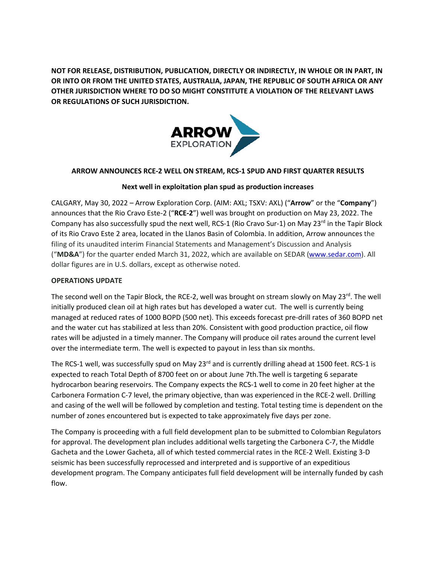**NOT FOR RELEASE, DISTRIBUTION, PUBLICATION, DIRECTLY OR INDIRECTLY, IN WHOLE OR IN PART, IN OR INTO OR FROM THE UNITED STATES, AUSTRALIA, JAPAN, THE REPUBLIC OF SOUTH AFRICA OR ANY OTHER JURISDICTION WHERE TO DO SO MIGHT CONSTITUTE A VIOLATION OF THE RELEVANT LAWS OR REGULATIONS OF SUCH JURISDICTION.**



# **ARROW ANNOUNCES RCE-2 WELL ON STREAM, RCS-1 SPUD AND FIRST QUARTER RESULTS**

## **Next well in exploitation plan spud as production increases**

CALGARY, May 30, 2022 – Arrow Exploration Corp. (AIM: AXL; TSXV: AXL) ("**Arrow**" or the "**Company**") announces that the Rio Cravo Este-2 ("**RCE-2**") well was brought on production on May 23, 2022. The Company has also successfully spud the next well, RCS-1 (Rio Cravo Sur-1) on May 23<sup>rd</sup> in the Tapir Block of its Rio Cravo Este 2 area, located in the Llanos Basin of Colombia. In addition, Arrow announces the filing of its unaudited interim Financial Statements and Management's Discussion and Analysis ("**MD&A**") for the quarter ended March 31, 2022, which are available on SEDAR (www.sedar.com). All dollar figures are in U.S. dollars, except as otherwise noted.

# **OPERATIONS UPDATE**

The second well on the Tapir Block, the RCE-2, well was brought on stream slowly on May 23<sup>rd</sup>. The well initially produced clean oil at high rates but has developed a water cut. The well is currently being managed at reduced rates of 1000 BOPD (500 net). This exceeds forecast pre-drill rates of 360 BOPD net and the water cut has stabilized at less than 20%. Consistent with good production practice, oil flow rates will be adjusted in a timely manner. The Company will produce oil rates around the current level over the intermediate term. The well is expected to payout in less than six months.

The RCS-1 well, was successfully spud on May 23<sup>rd</sup> and is currently drilling ahead at 1500 feet. RCS-1 is expected to reach Total Depth of 8700 feet on or about June 7th.The well is targeting 6 separate hydrocarbon bearing reservoirs. The Company expects the RCS-1 well to come in 20 feet higher at the Carbonera Formation C-7 level, the primary objective, than was experienced in the RCE-2 well. Drilling and casing of the well will be followed by completion and testing. Total testing time is dependent on the number of zones encountered but is expected to take approximately five days per zone.

The Company is proceeding with a full field development plan to be submitted to Colombian Regulators for approval. The development plan includes additional wells targeting the Carbonera C-7, the Middle Gacheta and the Lower Gacheta, all of which tested commercial rates in the RCE-2 Well. Existing 3-D seismic has been successfully reprocessed and interpreted and is supportive of an expeditious development program. The Company anticipates full field development will be internally funded by cash flow.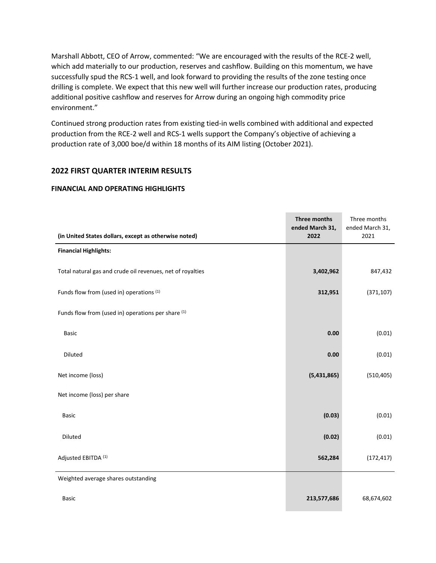Marshall Abbott, CEO of Arrow, commented: "We are encouraged with the results of the RCE-2 well, which add materially to our production, reserves and cashflow. Building on this momentum, we have successfully spud the RCS-1 well, and look forward to providing the results of the zone testing once drilling is complete. We expect that this new well will further increase our production rates, producing additional positive cashflow and reserves for Arrow during an ongoing high commodity price environment."

Continued strong production rates from existing tied-in wells combined with additional and expected production from the RCE-2 well and RCS-1 wells support the Company's objective of achieving a production rate of 3,000 boe/d within 18 months of its AIM listing (October 2021).

# **2022 FIRST QUARTER INTERIM RESULTS**

### **FINANCIAL AND OPERATING HIGHLIGHTS**

|                                                            | Three months<br>ended March 31, | Three months<br>ended March 31, |
|------------------------------------------------------------|---------------------------------|---------------------------------|
| (in United States dollars, except as otherwise noted)      | 2022                            | 2021                            |
| <b>Financial Highlights:</b>                               |                                 |                                 |
|                                                            |                                 |                                 |
| Total natural gas and crude oil revenues, net of royalties | 3,402,962                       | 847,432                         |
|                                                            |                                 |                                 |
| Funds flow from (used in) operations (1)                   | 312,951                         | (371, 107)                      |
|                                                            |                                 |                                 |
| Funds flow from (used in) operations per share (1)         |                                 |                                 |
|                                                            |                                 |                                 |
| <b>Basic</b>                                               | 0.00                            | (0.01)                          |
|                                                            |                                 |                                 |
| Diluted                                                    | 0.00                            | (0.01)                          |
|                                                            |                                 |                                 |
| Net income (loss)                                          | (5,431,865)                     | (510, 405)                      |
|                                                            |                                 |                                 |
| Net income (loss) per share                                |                                 |                                 |
|                                                            |                                 |                                 |
| Basic                                                      | (0.03)                          | (0.01)                          |
|                                                            |                                 |                                 |
| Diluted                                                    | (0.02)                          | (0.01)                          |
|                                                            |                                 |                                 |
| Adjusted EBITDA (1)                                        | 562,284                         | (172, 417)                      |
|                                                            |                                 |                                 |
| Weighted average shares outstanding                        |                                 |                                 |
|                                                            |                                 |                                 |
| <b>Basic</b>                                               | 213,577,686                     | 68,674,602                      |
|                                                            |                                 |                                 |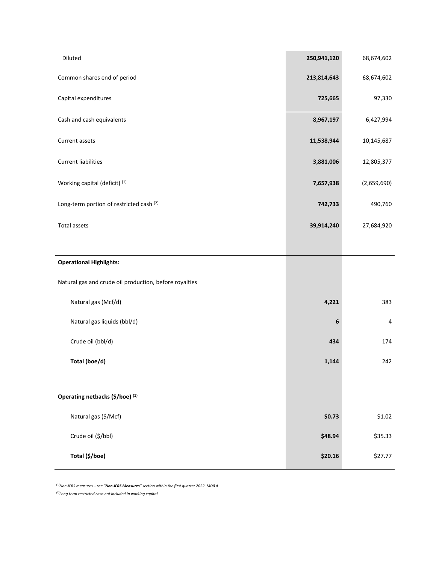| Diluted                                                | 250,941,120 | 68,674,602  |
|--------------------------------------------------------|-------------|-------------|
| Common shares end of period                            | 213,814,643 | 68,674,602  |
| Capital expenditures                                   | 725,665     | 97,330      |
| Cash and cash equivalents                              | 8,967,197   | 6,427,994   |
| Current assets                                         | 11,538,944  | 10,145,687  |
| <b>Current liabilities</b>                             | 3,881,006   | 12,805,377  |
| Working capital (deficit) (1)                          | 7,657,938   | (2,659,690) |
| Long-term portion of restricted cash (2)               | 742,733     | 490,760     |
| <b>Total assets</b>                                    | 39,914,240  | 27,684,920  |
|                                                        |             |             |
| <b>Operational Highlights:</b>                         |             |             |
| Natural gas and crude oil production, before royalties |             |             |
| Natural gas (Mcf/d)                                    | 4,221       | 383         |
| Natural gas liquids (bbl/d)                            | 6           | 4           |
| Crude oil (bbl/d)                                      | 434         | 174         |
| Total (boe/d)                                          | 1,144       | 242         |
|                                                        |             |             |
| Operating netbacks (\$/boe) (1)                        |             |             |
| Natural gas (\$/Mcf)                                   | \$0.73      | \$1.02      |
| Crude oil (\$/bbl)                                     | \$48.94     | \$35.33     |
| Total (\$/boe)                                         | \$20.16     | \$27.77     |

*(1)Non-IFRS measures – see "Non-IFRS Measures" section within the first quarter 2022 MD&A*

*(2)Long term restricted cash not included in working capital*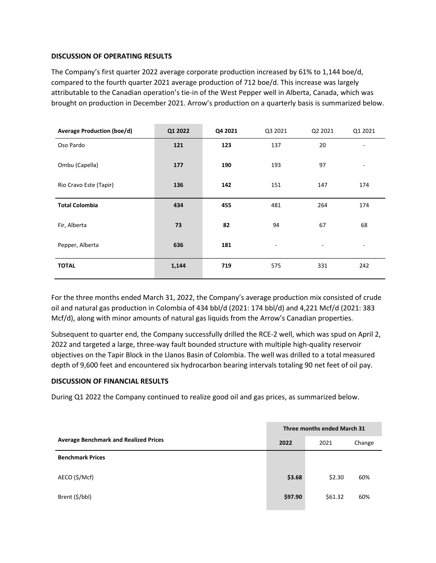## **DISCUSSION OF OPERATING RESULTS**

The Company's first quarter 2022 average corporate production increased by 61% to 1,144 boe/d, compared to the fourth quarter 2021 average production of 712 boe/d. This increase was largely attributable to the Canadian operation's tie-in of the West Pepper well in Alberta, Canada, which was brought on production in December 2021. Arrow's production on a quarterly basis is summarized below.

| <b>Average Production (boe/d)</b> | Q1 2022 | Q4 2021 | Q3 2021 | Q2 2021                  | Q1 2021 |
|-----------------------------------|---------|---------|---------|--------------------------|---------|
| Oso Pardo                         | 121     | 123     | 137     | 20                       |         |
| Ombu (Capella)                    | 177     | 190     | 193     | 97                       |         |
| Rio Cravo Este (Tapir)            | 136     | 142     | 151     | 147                      | 174     |
| <b>Total Colombia</b>             | 434     | 455     | 481     | 264                      | 174     |
| Fir, Alberta                      | 73      | 82      | 94      | 67                       | 68      |
| Pepper, Alberta                   | 636     | 181     | ۰.      | $\overline{\phantom{a}}$ |         |
| <b>TOTAL</b>                      | 1,144   | 719     | 575     | 331                      | 242     |

For the three months ended March 31, 2022, the Company's average production mix consisted of crude oil and natural gas production in Colombia of 434 bbl/d (2021: 174 bbl/d) and 4,221 Mcf/d (2021: 383 Mcf/d), along with minor amounts of natural gas liquids from the Arrow's Canadian properties.

Subsequent to quarter end, the Company successfully drilled the RCE-2 well, which was spud on April 2, 2022 and targeted a large, three-way fault bounded structure with multiple high-quality reservoir objectives on the Tapir Block in the Llanos Basin of Colombia. The well was drilled to a total measured depth of 9,600 feet and encountered six hydrocarbon bearing intervals totaling 90 net feet of oil pay.

## **DISCUSSION OF FINANCIAL RESULTS**

During Q1 2022 the Company continued to realize good oil and gas prices, as summarized below.

|                                              | Three months ended March 31 |         |        |
|----------------------------------------------|-----------------------------|---------|--------|
| <b>Average Benchmark and Realized Prices</b> | 2022                        | 2021    | Change |
| <b>Benchmark Prices</b>                      |                             |         |        |
| AECO (\$/Mcf)                                | \$3.68                      | \$2.30  | 60%    |
| Brent (\$/bbl)                               | \$97.90                     | \$61.32 | 60%    |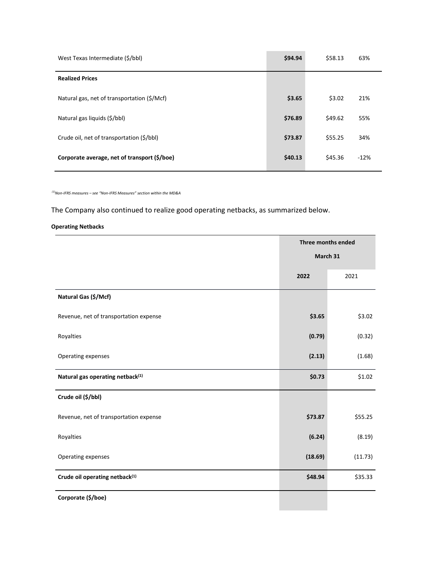| West Texas Intermediate (\$/bbl)             | \$94.94 | \$58.13 | 63%    |
|----------------------------------------------|---------|---------|--------|
| <b>Realized Prices</b>                       |         |         |        |
| Natural gas, net of transportation (\$/Mcf)  | \$3.65  | \$3.02  | 21%    |
| Natural gas liquids (\$/bbl)                 | \$76.89 | \$49.62 | 55%    |
| Crude oil, net of transportation (\$/bbl)    | \$73.87 | \$55.25 | 34%    |
| Corporate average, net of transport (\$/boe) | \$40.13 | \$45.36 | $-12%$ |

*(1)Non-IFRS measures – see "Non-IFRS Measures" section within the MD&A*

The Company also continued to realize good operating netbacks, as summarized below.

# **Operating Netbacks**

|                                              | Three months ended |         |
|----------------------------------------------|--------------------|---------|
|                                              | March 31           |         |
|                                              | 2022               | 2021    |
| Natural Gas (\$/Mcf)                         |                    |         |
| Revenue, net of transportation expense       | \$3.65             | \$3.02  |
| Royalties                                    | (0.79)             | (0.32)  |
| Operating expenses                           | (2.13)             | (1.68)  |
| Natural gas operating netback <sup>(1)</sup> | \$0.73             | \$1.02  |
| Crude oil (\$/bbl)                           |                    |         |
| Revenue, net of transportation expense       | \$73.87            | \$55.25 |
| Royalties                                    | (6.24)             | (8.19)  |
| Operating expenses                           | (18.69)            | (11.73) |
| Crude oil operating netback(1)               | \$48.94            | \$35.33 |
| Corporate (\$/boe)                           |                    |         |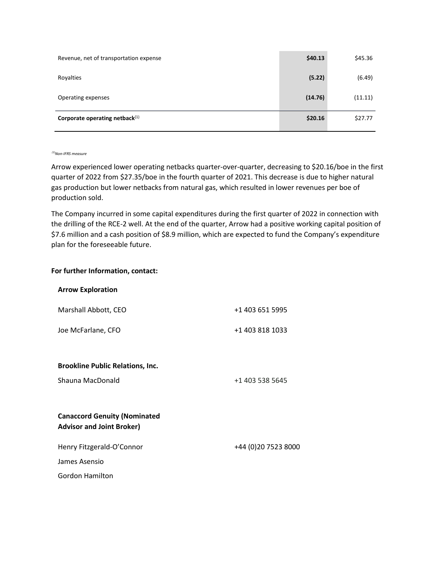| Revenue, net of transportation expense | \$40.13 | \$45.36 |
|----------------------------------------|---------|---------|
| Royalties                              | (5.22)  | (6.49)  |
| Operating expenses                     | (14.76) | (11.11) |
| Corporate operating netback $(1)$      | \$20.16 | \$27.77 |

*(1)Non-IFRS measure*

Arrow experienced lower operating netbacks quarter-over-quarter, decreasing to \$20.16/boe in the first quarter of 2022 from \$27.35/boe in the fourth quarter of 2021. This decrease is due to higher natural gas production but lower netbacks from natural gas, which resulted in lower revenues per boe of production sold.

The Company incurred in some capital expenditures during the first quarter of 2022 in connection with the drilling of the RCE-2 well. At the end of the quarter, Arrow had a positive working capital position of \$7.6 million and a cash position of \$8.9 million, which are expected to fund the Company's expenditure plan for the foreseeable future.

#### **For further Information, contact:**

| <b>Arrow Exploration</b>                |                      |
|-----------------------------------------|----------------------|
| Marshall Abbott, CEO                    | +1 403 651 5995      |
| Joe McFarlane, CFO                      | +1 403 818 1033      |
|                                         |                      |
| <b>Brookline Public Relations, Inc.</b> |                      |
| Shauna MacDonald                        | +1 403 538 5645      |
|                                         |                      |
| <b>Canaccord Genuity (Nominated</b>     |                      |
| <b>Advisor and Joint Broker)</b>        |                      |
| Henry Fitzgerald-O'Connor               | +44 (0) 20 7523 8000 |
| James Asensio                           |                      |
| <b>Gordon Hamilton</b>                  |                      |
|                                         |                      |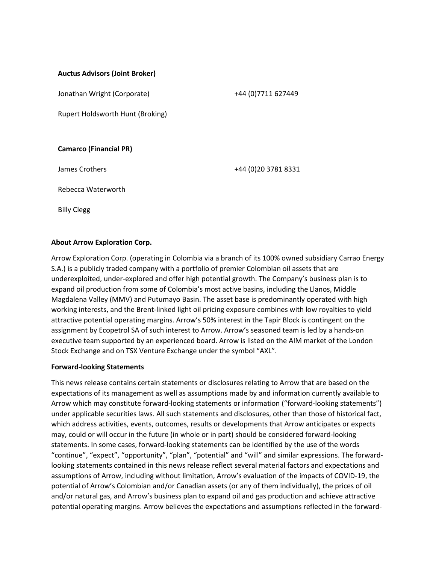### **Auctus Advisors (Joint Broker)**

Jonathan Wright (Corporate) +44 (0)7711 627449

Rupert Holdsworth Hunt (Broking)

### **Camarco (Financial PR)**

James Crothers +44 (0)20 3781 8331

Rebecca Waterworth

Billy Clegg

## **About Arrow Exploration Corp.**

Arrow Exploration Corp. (operating in Colombia via a branch of its 100% owned subsidiary Carrao Energy S.A.) is a publicly traded company with a portfolio of premier Colombian oil assets that are underexploited, under-explored and offer high potential growth. The Company's business plan is to expand oil production from some of Colombia's most active basins, including the Llanos, Middle Magdalena Valley (MMV) and Putumayo Basin. The asset base is predominantly operated with high working interests, and the Brent-linked light oil pricing exposure combines with low royalties to yield attractive potential operating margins. Arrow's 50% interest in the Tapir Block is contingent on the assignment by Ecopetrol SA of such interest to Arrow. Arrow's seasoned team is led by a hands-on executive team supported by an experienced board. Arrow is listed on the AIM market of the London Stock Exchange and on TSX Venture Exchange under the symbol "AXL".

#### **Forward-looking Statements**

This news release contains certain statements or disclosures relating to Arrow that are based on the expectations of its management as well as assumptions made by and information currently available to Arrow which may constitute forward-looking statements or information ("forward-looking statements") under applicable securities laws. All such statements and disclosures, other than those of historical fact, which address activities, events, outcomes, results or developments that Arrow anticipates or expects may, could or will occur in the future (in whole or in part) should be considered forward-looking statements. In some cases, forward-looking statements can be identified by the use of the words "continue", "expect", "opportunity", "plan", "potential" and "will" and similar expressions. The forwardlooking statements contained in this news release reflect several material factors and expectations and assumptions of Arrow, including without limitation, Arrow's evaluation of the impacts of COVID-19, the potential of Arrow's Colombian and/or Canadian assets (or any of them individually), the prices of oil and/or natural gas, and Arrow's business plan to expand oil and gas production and achieve attractive potential operating margins. Arrow believes the expectations and assumptions reflected in the forward